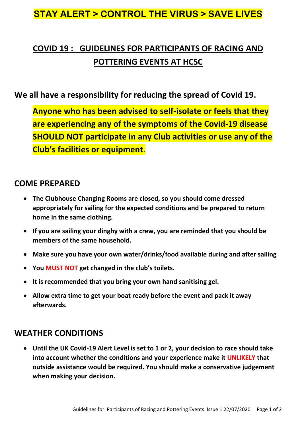### **STAY ALERT > CONTROL THE VIRUS > SAVE LIVES**

## **COVID 19 : GUIDELINES FOR PARTICIPANTS OF RACING AND POTTERING EVENTS AT HCSC**

#### **We all have a responsibility for reducing the spread of Covid 19.**

**Anyone who has been advised to self-isolate or feels that they are experiencing any of the symptoms of the Covid-19 disease SHOULD NOT participate in any Club activities or use any of the Club's facilities or equipment**.

#### **COME PREPARED**

- **The Clubhouse Changing Rooms are closed, so you should come dressed appropriately for sailing for the expected conditions and be prepared to return home in the same clothing.**
- **If you are sailing your dinghy with a crew, you are reminded that you should be members of the same household.**
- **Make sure you have your own water/drinks/food available during and after sailing**
- **You MUST NOT get changed in the club's toilets.**
- **It is recommended that you bring your own hand sanitising gel.**
- **Allow extra time to get your boat ready before the event and pack it away afterwards.**

#### **WEATHER CONDITIONS**

 **Until the UK Covid-19 Alert Level is set to 1 or 2, your decision to race should take into account whether the conditions and your experience make it UNLIKELY that outside assistance would be required. You should make a conservative judgement when making your decision.**